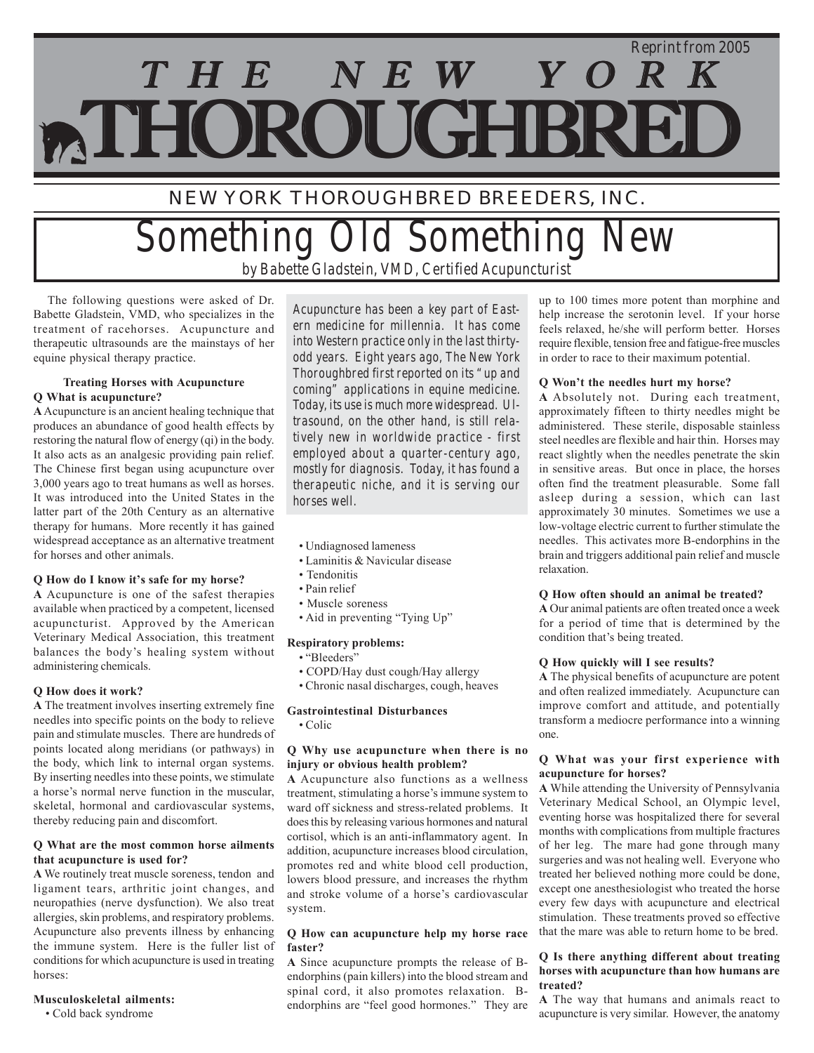# THE NEW YORK *Reprint from 2005* **ATHOROUGHBRE**

## NEW YORK THOROUGHBRED BREEDERS, INC.

## *Something Old Something New by Babette Gladstein, VMD, Certified Acupuncturist*

 The following questions were asked of Dr. Babette Gladstein, VMD, who specializes in the treatment of racehorses. Acupuncture and therapeutic ultrasounds are the mainstays of her equine physical therapy practice.

#### **Treating Horses with Acupuncture Q What is acupuncture?**

**A** Acupuncture is an ancient healing technique that produces an abundance of good health effects by restoring the natural flow of energy (qi) in the body. It also acts as an analgesic providing pain relief. The Chinese first began using acupuncture over 3,000 years ago to treat humans as well as horses. It was introduced into the United States in the latter part of the 20th Century as an alternative therapy for humans. More recently it has gained widespread acceptance as an alternative treatment for horses and other animals.

#### **Q How do I know it's safe for my horse?**

**A** Acupuncture is one of the safest therapies available when practiced by a competent, licensed acupuncturist. Approved by the American Veterinary Medical Association, this treatment balances the body's healing system without administering chemicals.

#### **Q How does it work?**

**A** The treatment involves inserting extremely fine needles into specific points on the body to relieve pain and stimulate muscles. There are hundreds of points located along meridians (or pathways) in the body, which link to internal organ systems. By inserting needles into these points, we stimulate a horse's normal nerve function in the muscular, skeletal, hormonal and cardiovascular systems, thereby reducing pain and discomfort.

#### **Q What are the most common horse ailments that acupuncture is used for?**

**A** We routinely treat muscle soreness, tendon and ligament tears, arthritic joint changes, and neuropathies (nerve dysfunction). We also treat allergies, skin problems, and respiratory problems. Acupuncture also prevents illness by enhancing the immune system. Here is the fuller list of conditions for which acupuncture is used in treating horses:

#### **Musculoskeletal ailments:**

• Cold back syndrome

*Acupuncture has been a key part of Eastern medicine for millennia. It has come into Western practice only in the last thirtyodd years. Eight years ago, The New York Thoroughbred first reported on its "up and coming" applications in equine medicine. Today, its use is much more widespread. Ultrasound, on the other hand, is still relatively new in worldwide practice - first employed about a quarter-century ago, mostly for diagnosis. Today, it has found a therapeutic niche, and it is serving our horses well.*

- Undiagnosed lameness
- Laminitis & Navicular disease
- Tendonitis
- Pain relief
- Muscle soreness
- Aid in preventing "Tying Up"

#### **Respiratory problems:**

- "Bleeders"
- COPD/Hay dust cough/Hay allergy
- Chronic nasal discharges, cough, heaves

#### **Gastrointestinal Disturbances**

• Colic

#### **Q Why use acupuncture when there is no injury or obvious health problem?**

**A** Acupuncture also functions as a wellness treatment, stimulating a horse's immune system to ward off sickness and stress-related problems. It does this by releasing various hormones and natural cortisol, which is an anti-inflammatory agent. In addition, acupuncture increases blood circulation, promotes red and white blood cell production, lowers blood pressure, and increases the rhythm and stroke volume of a horse's cardiovascular system.

#### **Q How can acupuncture help my horse race faster?**

**A** Since acupuncture prompts the release of Bendorphins (pain killers) into the blood stream and spinal cord, it also promotes relaxation. Bendorphins are "feel good hormones." They are

up to 100 times more potent than morphine and help increase the serotonin level. If your horse feels relaxed, he/she will perform better. Horses require flexible, tension free and fatigue-free muscles in order to race to their maximum potential.

#### **Q Won't the needles hurt my horse?**

**A** Absolutely not. During each treatment, approximately fifteen to thirty needles might be administered. These sterile, disposable stainless steel needles are flexible and hair thin. Horses may react slightly when the needles penetrate the skin in sensitive areas. But once in place, the horses often find the treatment pleasurable. Some fall asleep during a session, which can last approximately 30 minutes. Sometimes we use a low-voltage electric current to further stimulate the needles. This activates more B-endorphins in the brain and triggers additional pain relief and muscle relaxation.

#### **Q How often should an animal be treated?**

**A** Our animal patients are often treated once a week for a period of time that is determined by the condition that's being treated.

#### **Q How quickly will I see results?**

**A** The physical benefits of acupuncture are potent and often realized immediately. Acupuncture can improve comfort and attitude, and potentially transform a mediocre performance into a winning one.

#### **Q What was your first experience with acupuncture for horses?**

**A** While attending the University of Pennsylvania Veterinary Medical School, an Olympic level, eventing horse was hospitalized there for several months with complications from multiple fractures of her leg. The mare had gone through many surgeries and was not healing well. Everyone who treated her believed nothing more could be done, except one anesthesiologist who treated the horse every few days with acupuncture and electrical stimulation. These treatments proved so effective that the mare was able to return home to be bred.

#### **Q Is there anything different about treating horses with acupuncture than how humans are treated?**

**A** The way that humans and animals react to acupuncture is very similar. However, the anatomy